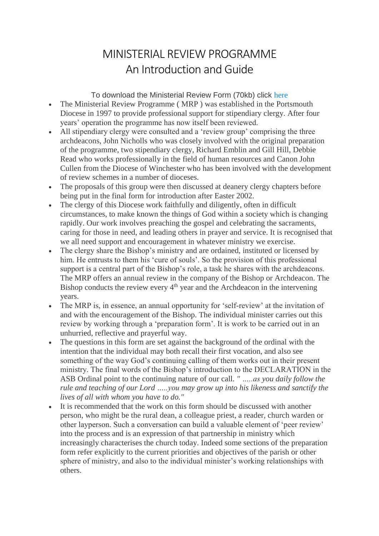## MINISTERIAL REVIEW PROGRAMME An Introduction and Guide

To download the Ministerial Review Form (70kb) click [here](https://web.archive.org/web/20160722210856/http:/portsmouth.anglican.org/fileadmin/images/bishop/guidelines/review.doc)

- The Ministerial Review Programme (MRP) was established in the Portsmouth Diocese in 1997 to provide professional support for stipendiary clergy. After four years' operation the programme has now itself been reviewed.
- All stipendiary clergy were consulted and a 'review group' comprising the three archdeacons, John Nicholls who was closely involved with the original preparation of the programme, two stipendiary clergy, Richard Emblin and Gill Hill, Debbie Read who works professionally in the field of human resources and Canon John Cullen from the Diocese of Winchester who has been involved with the development of review schemes in a number of dioceses.
- The proposals of this group were then discussed at deanery clergy chapters before being put in the final form for introduction after Easter 2002.
- The clergy of this Diocese work faithfully and diligently, often in difficult circumstances, to make known the things of God within a society which is changing rapidly. Our work involves preaching the gospel and celebrating the sacraments, caring for those in need, and leading others in prayer and service. It is recognised that we all need support and encouragement in whatever ministry we exercise.
- The clergy share the Bishop's ministry and are ordained, instituted or licensed by him. He entrusts to them his 'cure of souls'. So the provision of this professional support is a central part of the Bishop's role, a task he shares with the archdeacons. The MRP offers an annual review in the company of the Bishop or Archdeacon. The Bishop conducts the review every  $4<sup>th</sup>$  year and the Archdeacon in the intervening years.
- The MRP is, in essence, an annual opportunity for 'self-review' at the invitation of and with the encouragement of the Bishop. The individual minister carries out this review by working through a 'preparation form'. It is work to be carried out in an unhurried, reflective and prayerful way.
- The questions in this form are set against the background of the ordinal with the intention that the individual may both recall their first vocation, and also see something of the way God's continuing calling of them works out in their present ministry. The final words of the Bishop's introduction to the DECLARATION in the ASB Ordinal point to the continuing nature of our call. *" …..as you daily follow the rule and teaching of our Lord …..you may grow up into his likeness and sanctify the lives of all with whom you have to do."*
- It is recommended that the work on this form should be discussed with another person, who might be the rural dean, a colleague priest, a reader, church warden or other layperson. Such a conversation can build a valuable element of 'peer review' into the process and is an expression of that partnership in ministry which increasingly characterises the church today. Indeed some sections of the preparation form refer explicitly to the current priorities and objectives of the parish or other sphere of ministry, and also to the individual minister's working relationships with others.